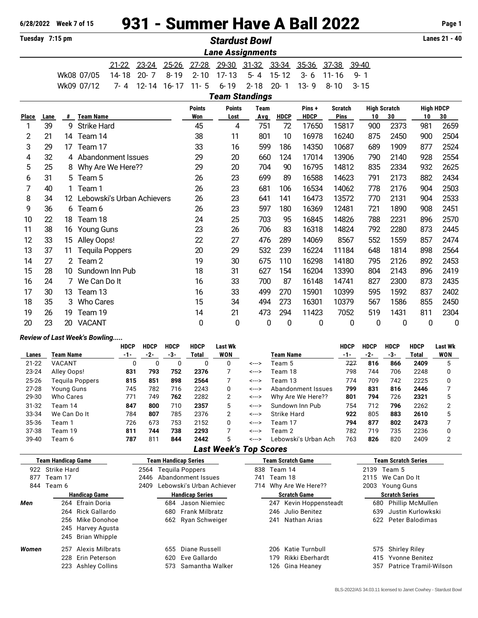# **6/28/2022 Week 7 of 15** 931 - Summer Have A Ball 2022 **Page 1**

| Tuesdav | $7:15 \text{ pm}$ |
|---------|-------------------|
|         |                   |

| Tuesday 7:15 pm         |      |                |                            |                        |           |           | <b>Stardust Bowl</b> |                       |                   |                   |             |                |                  |                     |                  |             |  |
|-------------------------|------|----------------|----------------------------|------------------------|-----------|-----------|----------------------|-----------------------|-------------------|-------------------|-------------|----------------|------------------|---------------------|------------------|-------------|--|
| <b>Lane Assignments</b> |      |                |                            |                        |           |           |                      |                       |                   |                   |             |                |                  |                     |                  |             |  |
|                         |      |                |                            | $21 - 22$              | $23 - 24$ | $25 - 26$ | $27 - 28$            |                       | 29-30 31-32 33-34 |                   | 35-36       | 37-38          | 39-40            |                     |                  |             |  |
|                         |      |                | Wk08 07/05                 | 14-18                  | $20 - 7$  | $8 - 19$  | $2 - 10$             | $17 - 13$             | $5 - 4$           | $15 - 12$         | $3 - 6$     | $11 - 16$      | $9 - 1$          |                     |                  |             |  |
|                         |      |                | Wk09 07/12                 | $7 - 4$                | $12 - 14$ | $16 - 17$ | $11 - 5$             | $6 - 19$              | $2 - 18$          | $20 - 1$          | $13 - 9$    | $8 - 10$       | $3 - 15$         |                     |                  |             |  |
|                         |      |                |                            |                        |           |           |                      | <b>Team Standings</b> |                   |                   |             |                |                  |                     |                  |             |  |
|                         |      |                |                            |                        |           |           | <b>Points</b>        | <b>Points</b>         | <b>Team</b>       |                   | Pins+       | <b>Scratch</b> |                  | <b>High Scratch</b> | <b>High HDCP</b> |             |  |
| <b>Place</b>            | Lane | #              | <b>Team Name</b>           |                        |           |           | Won                  | Lost                  | Avg               | <b>HDCP</b>       | <b>HDCP</b> | Pins           | 10               | 30                  | 10               | 30          |  |
| 1                       | 39   | 9              | <b>Strike Hard</b>         |                        |           |           | 45                   | 4                     | 751               | 72                | 17650       | 15817          | 900              | 2373                | 981              | 2659        |  |
| 2                       | 21   | 14             | Team 14                    |                        |           |           | 38                   | 11                    | 801               | 10                | 16978       | 16240          | 875              | 2450                | 900              | 2504        |  |
| 3                       | 29   | 17             | Team 17                    |                        |           |           | 33                   | 16                    | 599               | 186               | 14350       | 10687          | 689              | 1909                | 877              | 2524        |  |
| 4                       | 32   |                | 4 Abandonment Issues       |                        |           |           | 29                   | 20                    | 660               | 124               | 17014       | 13906          | 790              | 2140                | 928              | 2554        |  |
| 5                       | 25   | 8              | Why Are We Here??          |                        |           |           | 29                   | 20                    | 704               | 90                | 16795       | 14812          | 835              | 2334                | 932              | 2625        |  |
| 6                       | 31   |                | 5 Team 5                   |                        |           |           | 26                   | 23                    | 699               | 89                | 16588       | 14623          | 791              | 2173                | 882              | 2434        |  |
| 7                       | 40   |                | Team 1                     |                        |           |           | 26                   | 23                    | 681               | 106               | 16534       | 14062          | 778              | 2176                | 904              | 2503        |  |
| 8                       | 34   | 12             | Lebowski's Urban Achievers |                        |           |           | 26                   | 23                    | 641               | 141               | 16473       | 13572          | 770              | 2131                | 904              | 2533        |  |
| 9                       | 36   |                | 6 Team 6                   |                        |           |           | 26                   | 23                    | 597               | 180               | 16369       | 12481          | 721              | 1890                | 908              | 2451        |  |
| 10                      | 22   | 18             | Team 18                    |                        |           |           | 24                   | 25                    | 703               | 95                | 16845       | 14826          | 788              | 2231                | 896              | 2570        |  |
| 11                      | 38   | 16             | <b>Young Guns</b>          |                        |           |           | 23                   | 26                    | 706               | 83                | 16318       | 14824          | 792              | 2280                | 873              | 2445        |  |
| 12                      | 33   | 15             | Alley Oops!                |                        |           |           | 22                   | 27                    | 476               | 289               | 14069       | 8567           | 552              | 1559                | 857              | 2474        |  |
| 13                      | 37   | 11             |                            | <b>Tequila Poppers</b> |           |           | 20                   | 29                    | 532               | 239               | 16224       | 11184          | 648              | 1814                | 898              | 2564        |  |
| 14                      | 27   | $\overline{2}$ | Team 2                     |                        |           |           | 19                   | 30                    | 675               | 110               | 16298       | 14180          | 795              | 2126                | 892              | 2453        |  |
| 15                      | 28   | 10             | Sundown Inn Pub            |                        |           |           | 18                   | 31                    | 627               | 154               | 16204       | 13390          | 804              | 2143                | 896              | 2419        |  |
| 16                      | 24   | $\overline{7}$ | We Can Do It               |                        |           |           | 16                   | 33                    | 700               | 87                | 16148       | 14741          | 827              | 2300                | 873              | 2435        |  |
| 17                      | 30   | 13             | Team 13                    |                        |           |           | 16                   | 33                    | 499               | 270               | 15901       | 10399          | 595              | 1592                | 837              | 2402        |  |
| 18                      | 35   | 3              | <b>Who Cares</b>           |                        |           |           | 15                   | 34                    | 494               | 273               | 16301       | 10379          | 567              | 1586                | 855              | 2450        |  |
| 19                      | 26   | 19             | Team 19                    |                        |           |           | 14                   | 21                    | 473               | 294               | 11423       | 7052           | 519              | 1431                | 811              | 2304        |  |
| 20                      | 23   | 20             | <b>VACANT</b>              |                        |           |           | 0                    | 0                     |                   | 0<br>$\mathbf{0}$ |             | 0              | 0<br>$\mathbf 0$ | 0                   | 0                | $\mathbf 0$ |  |

### *Review of Last Week's Bowling.....*

|           |                 | <b>HDCP</b> | <b>HDCP</b> | <b>HDCP</b> | <b>HDCP</b> | Last Wk    |       |                      | <b>HDCP</b> | <b>HDCP</b> | <b>HDCP</b> | <b>HDCP</b> | <b>Last Wk</b> |
|-----------|-----------------|-------------|-------------|-------------|-------------|------------|-------|----------------------|-------------|-------------|-------------|-------------|----------------|
| Lanes     | Team Name       | $-1-$       | -2-         | -3-         | Total       | <b>WON</b> |       | Team Name            | $-1-$       | -2-         | -3-         | Total       | WON            |
| $21 - 22$ | VACANT          | 0           |             | 0           | 0           | 0          | <---> | Team 5               | 727         | 816         | 866         | 2409        | 5              |
| $23 - 24$ | Alley Oops!     | 831         | 793         | 752         | 2376        |            | <---> | Team 18              | 798         | 744         | 706         | 2248        |                |
| 25-26     | Teguila Poppers | 815         | 851         | 898         | 2564        |            | <---> | Team 13              | 774         | 709         | 742         | 2225        |                |
| $27 - 28$ | Young Guns      | 745         | 782         | 716         | 2243        | 0          | <---> | Abandonment Issues   | 799         | 831         | 816         | 2446        |                |
| 29-30     | Who Cares       | 771         | 749         | 762         | 2282        | 2          | <---> | Why Are We Here??    | 801         | 794         | 726         | 2321        | 5              |
| $31 - 32$ | Team 14         | 847         | 800         | 710         | 2357        | 5          | <---> | Sundown Inn Pub      | 754         | 712         | 796         | 2262        | ≘              |
| 33-34     | We Can Do It    | 784         | 807         | 785         | 2376        | 2          | <---> | Strike Hard          | 922         | 805         | 883         | 2610        | 5              |
| 35-36     | Геаm 1          | 726         | 673         | 753         | 2152        | 0          | <---> | Team 17              | 794         | 877         | 802         | 2473        |                |
| 37-38     | Team 19         | 811         | 744         | 738         | 2293        |            | <---> | Team 2               | 782         | 719         | 735         | 2236        |                |
| $39-40$   | Геаm 6          | 787         | 811         | 844         | 2442        | 5          | <---> | Lebowski's Urban Ach | 763         | 826         | 820         | 2409        | C              |

## *Last Week's Top Scores*

|       | Team Handicap Game     |      | <b>Team Handicap Series</b>  | Team Scratch Game       | <b>Team Scratch Series</b>     |
|-------|------------------------|------|------------------------------|-------------------------|--------------------------------|
| 922   | Strike Hard            | 2564 | Teguila Poppers              | 838 Team 14             | 2139<br>Team 5                 |
| 877   | Team 17                | 2446 | Abandonment Issues           | Team 18<br>741          | 2115 We Can Dolt               |
|       | 844 Team 6             | 2409 | Lebowski's Urban Achiever    | 714 Why Are We Here??   | 2003<br>Young Guns             |
|       | <b>Handicap Game</b>   |      | <b>Handicap Series</b>       | <b>Scratch Game</b>     | <b>Scratch Series</b>          |
| Men   | 264 Efrain Doria       |      | Jason Niemiec<br>684         | 247 Kevin Hoppensteadt  | <b>Phillip McMullen</b><br>680 |
|       | 264 Rick Gallardo      |      | <b>Frank Milbratz</b><br>680 | 246 Julio Benitez       | Justin Kurlowkski<br>639       |
|       | 256 Mike Donohoe       |      | 662 Ryan Schweiger           | 241 Nathan Arias        | 622 Peter Balodimas            |
|       | 245 Harvey Agusta      |      |                              |                         |                                |
|       | 245 Brian Whipple      |      |                              |                         |                                |
| Women | Alexis Milbrats<br>257 |      | Diane Russell<br>655         | 206 Katie Turnbull      | 575 Shirley Riley              |
|       | Erin Peterson<br>228   |      | Eve Gallardo<br>620          | Rikki Eberhardt<br>179. | Yvonne Benitez<br>415          |
|       | Ashley Collins<br>223  |      | Samantha Walker<br>573       | 126 Gina Heaney         | Patrice Tramil-Wilson<br>357   |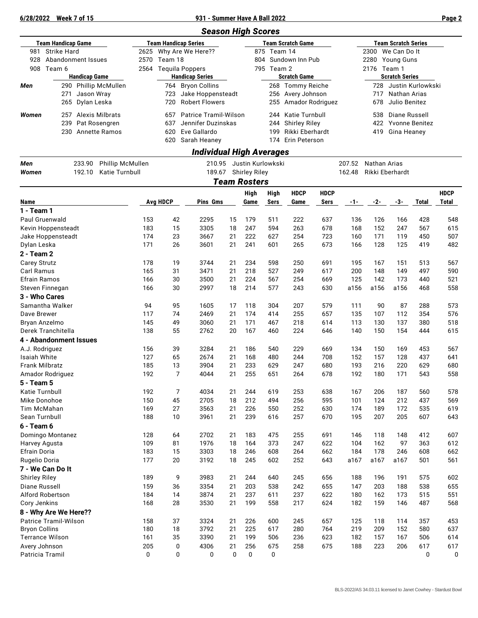#### **6/28/2022 Week 7 of 15 931 - Summer Have A Ball 2022 Page 2**

|                                                                                                      |                                         |                                                          |                                                                  |            |                                             |                                                                             |                                                                                                        |          | <b>Season High Scores</b>          |                     |                                                                                 |                                                                                      |                  |                                                                                                  |            |              |                      |
|------------------------------------------------------------------------------------------------------|-----------------------------------------|----------------------------------------------------------|------------------------------------------------------------------|------------|---------------------------------------------|-----------------------------------------------------------------------------|--------------------------------------------------------------------------------------------------------|----------|------------------------------------|---------------------|---------------------------------------------------------------------------------|--------------------------------------------------------------------------------------|------------------|--------------------------------------------------------------------------------------------------|------------|--------------|----------------------|
| <b>Team Handicap Game</b><br>981<br><b>Strike Hard</b><br>Abandonment Issues<br>928<br>908<br>Team 6 |                                         | 2625<br>2570<br>2564                                     | <b>Team Handicap Series</b><br>Team 18<br><b>Tequila Poppers</b> |            | Why Are We Here??<br><b>Handicap Series</b> |                                                                             | <b>Team Scratch Game</b><br>875 Team 14<br>Sundown Inn Pub<br>804<br>795 Team 2<br><b>Scratch Game</b> |          |                                    |                     |                                                                                 | <b>Team Scratch Series</b><br>We Can Do It<br>2300<br>2280 Young Guns<br>2176 Team 1 |                  |                                                                                                  |            |              |                      |
| Men                                                                                                  | 271<br>265                              | <b>Handicap Game</b><br>Jason Wray<br>Dylan Leska        | 290 Phillip McMullen                                             |            | 723<br>720                                  | 764 Bryon Collins<br>Jake Hoppensteadt<br><b>Robert Flowers</b>             |                                                                                                        |          |                                    |                     | 268 Tommy Reiche<br>256 Avery Johnson<br>255 Amador Rodriguez                   |                                                                                      |                  | <b>Scratch Series</b><br>728<br>Justin Kurlowkski<br>717<br>Nathan Arias<br>Julio Benitez<br>678 |            |              |                      |
| Women                                                                                                | 257<br>239<br>230                       | Alexis Milbrats<br>Pat Rosengren<br><b>Annette Ramos</b> |                                                                  |            | 657<br>637<br>620<br>620                    | Patrice Tramil-Wilson<br>Jennifer Duzinskas<br>Eve Gallardo<br>Sarah Heaney |                                                                                                        |          |                                    | 199                 | 244 Katie Turnbull<br>244 Shirley Riley<br>Rikki Eberhardt<br>174 Erin Peterson |                                                                                      |                  | 538<br>Diane Russell<br>422<br>Yvonne Benitez<br>419<br>Gina Heaney                              |            |              |                      |
|                                                                                                      |                                         |                                                          |                                                                  |            |                                             |                                                                             |                                                                                                        |          | <b>Individual High Averages</b>    |                     |                                                                                 |                                                                                      |                  |                                                                                                  |            |              |                      |
| Men<br>Women                                                                                         |                                         | 233.90<br>192.10                                         | Phillip McMullen<br>Katie Turnbull                               |            |                                             |                                                                             | 210.95<br>189.67                                                                                       |          | Justin Kurlowkski<br>Shirley Riley |                     |                                                                                 |                                                                                      | 207.52<br>162.48 | Nathan Arias<br>Rikki Eberhardt                                                                  |            |              |                      |
|                                                                                                      |                                         |                                                          |                                                                  |            |                                             |                                                                             |                                                                                                        |          | <b>Team Rosters</b>                |                     |                                                                                 |                                                                                      |                  |                                                                                                  |            |              |                      |
| Name                                                                                                 |                                         |                                                          |                                                                  |            | <b>Avg HDCP</b>                             |                                                                             | Pins Gms                                                                                               |          | High<br>Game                       | <b>High</b><br>Sers | <b>HDCP</b><br>Game                                                             | <b>HDCP</b><br>Sers                                                                  | -1-              | $-2-$                                                                                            | -3-        | <b>Total</b> | <b>HDCP</b><br>Total |
| $1 - Team 1$                                                                                         |                                         |                                                          |                                                                  |            |                                             |                                                                             |                                                                                                        |          |                                    |                     |                                                                                 |                                                                                      |                  |                                                                                                  |            |              |                      |
|                                                                                                      | Paul Gruenwald                          |                                                          |                                                                  | 153        | 42<br>15                                    | 2295                                                                        |                                                                                                        | 15       | 179                                | 511                 | 222                                                                             | 637                                                                                  | 136              | 126<br>152                                                                                       | 166        | 428          | 548<br>615           |
|                                                                                                      | Kevin Hoppensteadt<br>Jake Hoppensteadt |                                                          |                                                                  | 183<br>174 | 23                                          | 3305<br>3667                                                                |                                                                                                        | 18<br>21 | 247<br>222                         | 594<br>627          | 263<br>254                                                                      | 678<br>723                                                                           | 168<br>160       | 171                                                                                              | 247<br>119 | 567<br>450   | 507                  |
| Dylan Leska                                                                                          |                                         |                                                          |                                                                  | 171        | 26                                          | 3601                                                                        |                                                                                                        | 21       | 241                                | 601                 | 265                                                                             | 673                                                                                  | 166              | 128                                                                                              | 125        | 419          | 482                  |
| 2 - Team 2                                                                                           |                                         |                                                          |                                                                  |            |                                             |                                                                             |                                                                                                        |          |                                    |                     |                                                                                 |                                                                                      |                  |                                                                                                  |            |              |                      |
| Carey Strutz                                                                                         |                                         |                                                          |                                                                  | 178        | 19                                          | 3744                                                                        |                                                                                                        | 21       | 234                                | 598                 | 250                                                                             | 691                                                                                  | 195              | 167                                                                                              | 151        | 513          | 567                  |
| Carl Ramus                                                                                           |                                         |                                                          |                                                                  | 165        | 31                                          | 3471                                                                        |                                                                                                        | 21       | 218                                | 527                 | 249                                                                             | 617                                                                                  | 200              | 148                                                                                              | 149        | 497          | 590                  |
| Efrain Ramos                                                                                         |                                         |                                                          |                                                                  | 166        | 30                                          | 3500                                                                        |                                                                                                        | 21       | 224                                | 567                 | 254                                                                             | 669                                                                                  | 125              | 142                                                                                              | 173        | 440          | 521                  |
|                                                                                                      | Steven Finnegan                         |                                                          |                                                                  | 166        | 30                                          | 2997                                                                        |                                                                                                        | 18       | 214                                | 577                 | 243                                                                             | 630                                                                                  | a156             | a156                                                                                             | a156       | 468          | 558                  |
| 3 - Who Cares                                                                                        |                                         |                                                          |                                                                  |            |                                             |                                                                             |                                                                                                        |          |                                    |                     |                                                                                 |                                                                                      |                  |                                                                                                  |            |              |                      |
| Dave Brewer                                                                                          | Samantha Walker                         |                                                          |                                                                  | 94<br>117  | 95<br>74                                    | 1605<br>2469                                                                |                                                                                                        | 17<br>21 | 118<br>174                         | 304<br>414          | 207                                                                             | 579                                                                                  | 111              | 90                                                                                               | 87         | 288          | 573                  |
| Bryan Anzelmo                                                                                        |                                         |                                                          |                                                                  | 145        | 49                                          | 3060                                                                        |                                                                                                        | 21       | 171                                | 467                 | 255<br>218                                                                      | 657<br>614                                                                           | 135<br>113       | 107<br>130                                                                                       | 112<br>137 | 354<br>380   | 576<br>518           |
|                                                                                                      | Derek Tranchitella                      |                                                          |                                                                  | 138        | 55                                          | 2762                                                                        |                                                                                                        | 20       | 167                                | 460                 | 224                                                                             | 646                                                                                  | 140              | 150                                                                                              | 154        | 444          | 615                  |
|                                                                                                      | 4 - Abandonment Issues                  |                                                          |                                                                  |            |                                             |                                                                             |                                                                                                        |          |                                    |                     |                                                                                 |                                                                                      |                  |                                                                                                  |            |              |                      |
| A.J. Rodriguez                                                                                       |                                         |                                                          |                                                                  | 156        | 39                                          | 3284                                                                        |                                                                                                        | 21       | 186                                | 540                 | 229                                                                             | 669                                                                                  | 134              | 150                                                                                              | 169        | 453          | 567                  |
| Isaiah White                                                                                         |                                         |                                                          |                                                                  | 127        | 65                                          | 2674                                                                        |                                                                                                        | 21       | 168                                | 480                 | 244                                                                             | 708                                                                                  | 152              | 157                                                                                              | 128        | 437          | 641                  |
| <b>Frank Milbratz</b>                                                                                |                                         |                                                          |                                                                  | 185        | 13                                          | 3904                                                                        |                                                                                                        | 21       | 233                                | 629                 | 247                                                                             | 680                                                                                  | 193              | 216                                                                                              | 220        | 629          | 680                  |
| 5 - Team 5                                                                                           | Amador Rodriguez                        |                                                          |                                                                  | 192        |                                             | 4044                                                                        |                                                                                                        | 21       | 255                                | 651                 | 264                                                                             | 678                                                                                  | 192              | 180                                                                                              | 171        | 543          | 558                  |
| Katie Turnbull                                                                                       |                                         |                                                          |                                                                  | 192        |                                             | 7<br>4034                                                                   |                                                                                                        | 21       | 244                                | 619                 | 253                                                                             | 638                                                                                  | 167              | 206                                                                                              | 187        | 560          | 578                  |
| Mike Donohoe                                                                                         |                                         |                                                          |                                                                  | 150        | 45                                          | 2705                                                                        |                                                                                                        | 18       | 212                                | 494                 | 256                                                                             | 595                                                                                  | 101              | 124                                                                                              | 212        | 437          | 569                  |
| Tim McMahan                                                                                          |                                         |                                                          |                                                                  | 169        | 27                                          | 3563                                                                        |                                                                                                        | 21       | 226                                | 550                 | 252                                                                             | 630                                                                                  | 174              | 189                                                                                              | 172        | 535          | 619                  |
| Sean Turnbull<br>$6 - Team 6$                                                                        |                                         |                                                          |                                                                  | 188        | 10                                          | 3961                                                                        |                                                                                                        | 21       | 239                                | 616                 | 257                                                                             | 670                                                                                  | 195              | 207                                                                                              | 205        | 607          | 643                  |
|                                                                                                      | Domingo Montanez                        |                                                          |                                                                  | 128        | 64                                          | 2702                                                                        |                                                                                                        | 21       | 183                                | 475                 | 255                                                                             | 691                                                                                  | 146              | 118                                                                                              | 148        | 412          | 607                  |
| Harvey Agusta                                                                                        |                                         |                                                          |                                                                  | 109        | 81                                          | 1976                                                                        |                                                                                                        | 18       | 164                                | 373                 | 247                                                                             | 622                                                                                  | 104              | 162                                                                                              | 97         | 363          | 612                  |
| Efrain Doria                                                                                         |                                         |                                                          |                                                                  | 183        | 15                                          | 3303                                                                        |                                                                                                        | 18       | 246                                | 608                 | 264                                                                             | 662                                                                                  | 184              | 178                                                                                              | 246        | 608          | 662                  |
| Rugelio Doria                                                                                        |                                         |                                                          |                                                                  | 177        | 20                                          | 3192                                                                        |                                                                                                        | 18       | 245                                | 602                 | 252                                                                             | 643                                                                                  | a167             | a167                                                                                             | a167       | 501          | 561                  |
|                                                                                                      | 7 - We Can Do It                        |                                                          |                                                                  |            |                                             |                                                                             |                                                                                                        |          |                                    |                     |                                                                                 |                                                                                      |                  |                                                                                                  |            |              |                      |
| <b>Shirley Riley</b>                                                                                 |                                         |                                                          |                                                                  | 189        |                                             | 9<br>3983                                                                   |                                                                                                        | 21       | 244                                | 640                 | 245                                                                             | 656                                                                                  | 188              | 196                                                                                              | 191        | 575          | 602                  |
| Diane Russell                                                                                        |                                         |                                                          |                                                                  | 159        | 36                                          | 3354                                                                        |                                                                                                        | 21       | 203                                | 538                 | 242                                                                             | 655                                                                                  | 147              | 203                                                                                              | 188        | 538          | 655                  |
| Cory Jenkins                                                                                         | Alford Robertson                        |                                                          |                                                                  | 184<br>168 | 14<br>28                                    | 3874<br>3530                                                                |                                                                                                        | 21<br>21 | 237<br>199                         | 611<br>558          | 237<br>217                                                                      | 622<br>624                                                                           | 180<br>182       | 162<br>159                                                                                       | 173<br>146 | 515<br>487   | 551<br>568           |
|                                                                                                      | 8 - Why Are We Here??                   |                                                          |                                                                  |            |                                             |                                                                             |                                                                                                        |          |                                    |                     |                                                                                 |                                                                                      |                  |                                                                                                  |            |              |                      |
|                                                                                                      | Patrice Tramil-Wilson                   |                                                          |                                                                  | 158        | 37                                          | 3324                                                                        |                                                                                                        | 21       | 226                                | 600                 | 245                                                                             | 657                                                                                  | 125              | 118                                                                                              | 114        | 357          | 453                  |
| <b>Bryon Collins</b>                                                                                 |                                         |                                                          |                                                                  | 180        | 18                                          | 3792                                                                        |                                                                                                        | 21       | 225                                | 617                 | 280                                                                             | 764                                                                                  | 219              | 209                                                                                              | 152        | 580          | 637                  |
|                                                                                                      | <b>Terrance Wilson</b>                  |                                                          |                                                                  | 161        | 35                                          | 3390                                                                        |                                                                                                        | 21       | 199                                | 506                 | 236                                                                             | 623                                                                                  | 182              | 157                                                                                              | 167        | 506          | 614                  |
| Avery Johnson                                                                                        |                                         |                                                          |                                                                  | 205        |                                             | 4306<br>0                                                                   |                                                                                                        | 21       | 256                                | 675                 | 258                                                                             | 675                                                                                  | 188              | 223                                                                                              | 206        | 617          | 617                  |
| Patricia Tramil                                                                                      |                                         |                                                          |                                                                  | 0          |                                             | 0                                                                           | 0                                                                                                      | 0        | 0                                  | 0                   |                                                                                 |                                                                                      |                  |                                                                                                  |            | 0            | 0                    |